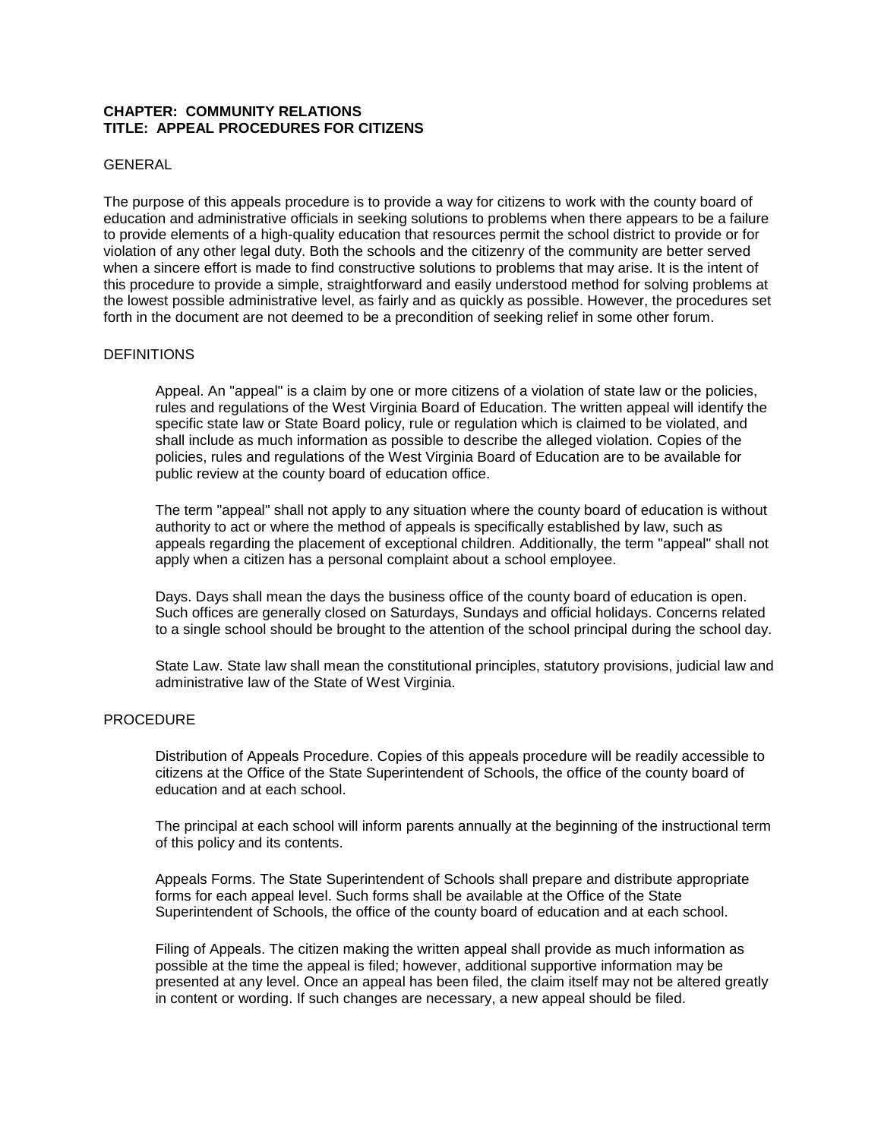# **CHAPTER: COMMUNITY RELATIONS TITLE: APPEAL PROCEDURES FOR CITIZENS**

# GENERAL

The purpose of this appeals procedure is to provide a way for citizens to work with the county board of education and administrative officials in seeking solutions to problems when there appears to be a failure to provide elements of a high-quality education that resources permit the school district to provide or for violation of any other legal duty. Both the schools and the citizenry of the community are better served when a sincere effort is made to find constructive solutions to problems that may arise. It is the intent of this procedure to provide a simple, straightforward and easily understood method for solving problems at the lowest possible administrative level, as fairly and as quickly as possible. However, the procedures set forth in the document are not deemed to be a precondition of seeking relief in some other forum.

#### **DEFINITIONS**

Appeal. An "appeal" is a claim by one or more citizens of a violation of state law or the policies, rules and regulations of the West Virginia Board of Education. The written appeal will identify the specific state law or State Board policy, rule or regulation which is claimed to be violated, and shall include as much information as possible to describe the alleged violation. Copies of the policies, rules and regulations of the West Virginia Board of Education are to be available for public review at the county board of education office.

The term "appeal" shall not apply to any situation where the county board of education is without authority to act or where the method of appeals is specifically established by law, such as appeals regarding the placement of exceptional children. Additionally, the term "appeal" shall not apply when a citizen has a personal complaint about a school employee.

Days. Days shall mean the days the business office of the county board of education is open. Such offices are generally closed on Saturdays, Sundays and official holidays. Concerns related to a single school should be brought to the attention of the school principal during the school day.

State Law. State law shall mean the constitutional principles, statutory provisions, judicial law and administrative law of the State of West Virginia.

## **PROCEDURE**

Distribution of Appeals Procedure. Copies of this appeals procedure will be readily accessible to citizens at the Office of the State Superintendent of Schools, the office of the county board of education and at each school.

The principal at each school will inform parents annually at the beginning of the instructional term of this policy and its contents.

Appeals Forms. The State Superintendent of Schools shall prepare and distribute appropriate forms for each appeal level. Such forms shall be available at the Office of the State Superintendent of Schools, the office of the county board of education and at each school.

Filing of Appeals. The citizen making the written appeal shall provide as much information as possible at the time the appeal is filed; however, additional supportive information may be presented at any level. Once an appeal has been filed, the claim itself may not be altered greatly in content or wording. If such changes are necessary, a new appeal should be filed.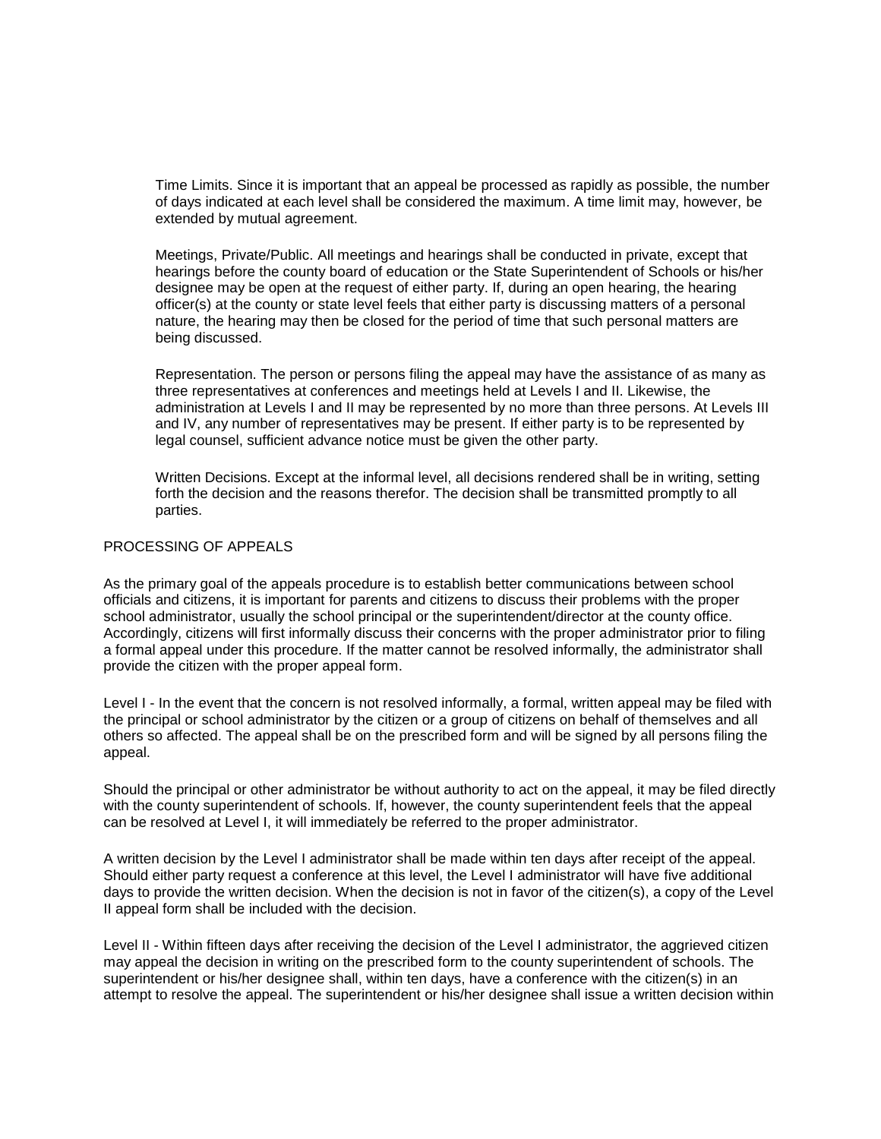Time Limits. Since it is important that an appeal be processed as rapidly as possible, the number of days indicated at each level shall be considered the maximum. A time limit may, however, be extended by mutual agreement.

Meetings, Private/Public. All meetings and hearings shall be conducted in private, except that hearings before the county board of education or the State Superintendent of Schools or his/her designee may be open at the request of either party. If, during an open hearing, the hearing officer(s) at the county or state level feels that either party is discussing matters of a personal nature, the hearing may then be closed for the period of time that such personal matters are being discussed.

Representation. The person or persons filing the appeal may have the assistance of as many as three representatives at conferences and meetings held at Levels I and II. Likewise, the administration at Levels I and II may be represented by no more than three persons. At Levels III and IV, any number of representatives may be present. If either party is to be represented by legal counsel, sufficient advance notice must be given the other party.

Written Decisions. Except at the informal level, all decisions rendered shall be in writing, setting forth the decision and the reasons therefor. The decision shall be transmitted promptly to all parties.

## PROCESSING OF APPEALS

As the primary goal of the appeals procedure is to establish better communications between school officials and citizens, it is important for parents and citizens to discuss their problems with the proper school administrator, usually the school principal or the superintendent/director at the county office. Accordingly, citizens will first informally discuss their concerns with the proper administrator prior to filing a formal appeal under this procedure. If the matter cannot be resolved informally, the administrator shall provide the citizen with the proper appeal form.

Level I - In the event that the concern is not resolved informally, a formal, written appeal may be filed with the principal or school administrator by the citizen or a group of citizens on behalf of themselves and all others so affected. The appeal shall be on the prescribed form and will be signed by all persons filing the appeal.

Should the principal or other administrator be without authority to act on the appeal, it may be filed directly with the county superintendent of schools. If, however, the county superintendent feels that the appeal can be resolved at Level I, it will immediately be referred to the proper administrator.

A written decision by the Level I administrator shall be made within ten days after receipt of the appeal. Should either party request a conference at this level, the Level I administrator will have five additional days to provide the written decision. When the decision is not in favor of the citizen(s), a copy of the Level II appeal form shall be included with the decision.

Level II - Within fifteen days after receiving the decision of the Level I administrator, the aggrieved citizen may appeal the decision in writing on the prescribed form to the county superintendent of schools. The superintendent or his/her designee shall, within ten days, have a conference with the citizen(s) in an attempt to resolve the appeal. The superintendent or his/her designee shall issue a written decision within